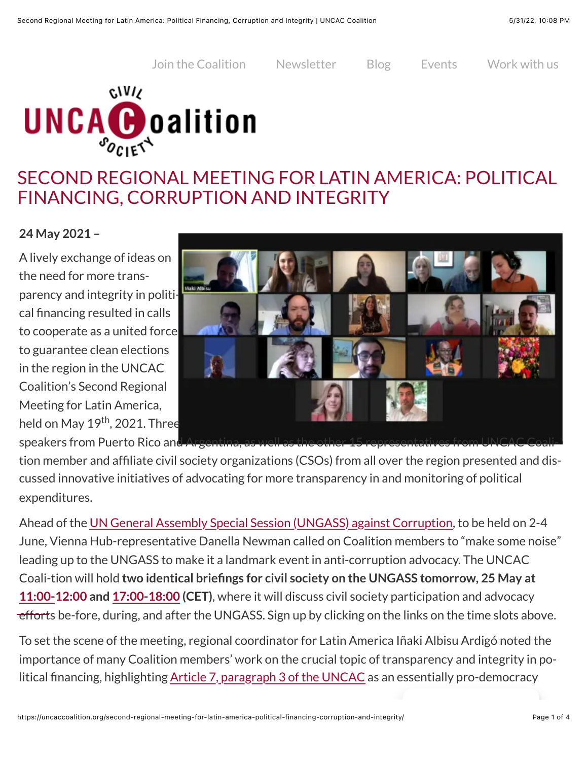[Join the Coalition](https://uncaccoalition.org/join-the-uncac-coalition/) [Newsletter](https://uncaccoalition.org/newsletter/) [Blog](https://uncaccoalition.org/learn-more/blog/) [Events](https://uncaccoalition.org/get-involved/anti-corruption-events/) [Work with us](https://uncaccoalition.org/get-involved/work-with-us/)



## SECOND REGIONAL MEETING FOR LATIN AMERICA: POLITICAL FINANCING, CORRUPTION AND INTEGRITY

#### **24 May 2021 –**

A lively exchange of ideas on the need for more transparency and integrity in political financing resulted in calls to cooperate as a united force to guarantee clean elections in the region in the UNCAC Coalition's Second Regional Meeting for Latin America, held on May 19<sup>th</sup>, 2021. Three



speakers from Puerto Rico and Argentina tion member and affiliate civil society organizations (CSOs) from all over the region presented and discussed innovative initiatives of advocating for more transparency in and monitoring of political expenditures.

Ahead of the [UN General Assembly Special Session \(UNGASS\) against Corruption,](mailto:https://uncaccoalition.org/ungass/) to be held on 2-4 June, Vienna Hub-representative Danella Newman called on Coalition members to "make some noise" leading up to the UNGASS to make it a landmark event in anti-corruption advocacy. The UNCAC Coali-tion will hold **two identical briefings for civil society on the UNGASS tomorrow, 25 May at 11:00-12:00 and [17:00-18:00](https://us02web.zoom.us/meeting/register/tZYtce-gqTgsH9Q0gyOn_KT6UNZlHyvNN1Wa) (CET)**[, where it will discuss civil society participation and advocacy](https://us02web.zoom.us/meeting/register/tZcqduiopz0tGNJcrlzgg1F89THioccWdlUa)  efforts be-fore, during, and after the UNGASS. Sign up by clicking on the links on the time slots above.

To set the scene of the meeting, regional coordinator for Latin America Iñaki Albisu Ardigó noted the importance of many Coalition members' work on the crucial topic of transparency and integrity in political financing, highlighting [Article 7, paragraph 3 of the UNCAC](https://uncaccoalition.org/the-uncac/united-nations-convention-against-corruption/) as an essentially pro-democracy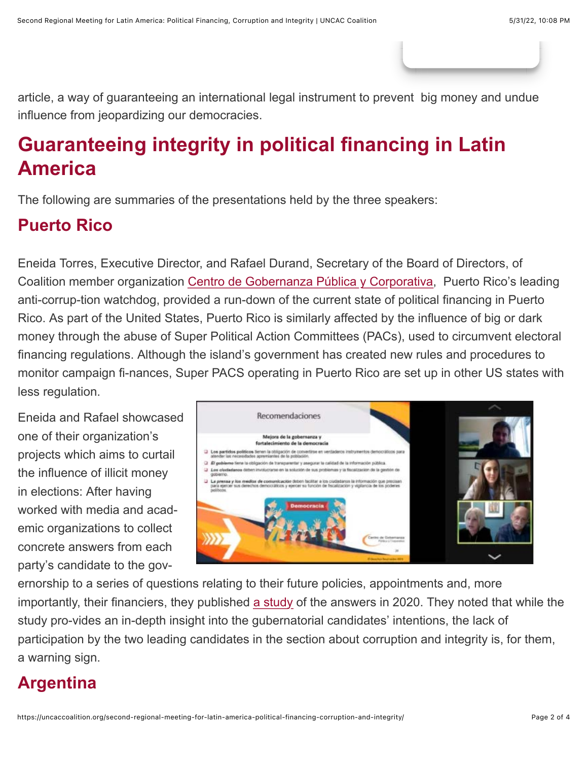article, a way of guaranteeing an international legal instrument to prevent big money and undue influence from jeopardizing our democracies.

# **Guaranteeing integrity in political financing in Latin America**

The following are summaries of the presentations held by the three speakers:

### **Puerto Rico**

Eneida Torres, Executive Director, and Rafael Durand, Secretary of the Board of Directors, of Coalition member organization [Centro de Gobernanza Pública y Corporativa](https://gobernanzapr.org/), Puerto Rico's leading anti-corrup-tion watchdog, provided a run-down of the current state of political financing in Puerto Rico. As part of the United States, Puerto Rico is similarly affected by the influence of big or dark money through the abuse of Super Political Action Committees (PACs), used to circumvent electoral financing regulations. Although the island's government has created new rules and procedures to monitor campaign fi-nances, Super PACS operating in Puerto Rico are set up in other US states with less regulation.

Eneida and Rafael showcased one of their organization's projects which aims to curtail the influence of illicit money in elections: After having worked with media and academic organizations to collect concrete answers from each party's candidate to the gov-



ernorship to a series of questions relating to their future policies, appointments and, more importantly, their financiers, they published [a study](mailto:https://gobernanzapr.org/wp-content/uploads/2021/01/Estudio-las-propuestas-sobre-buena-gobernanza-publica-candidatos-2020.pdf) of the answers in 2020. They noted that while the study pro-vides an in-depth insight into the gubernatorial candidates' intentions, the lack of participation by the two leading candidates in the section about corruption and integrity is, for them, a warning sign.

## **Argentina**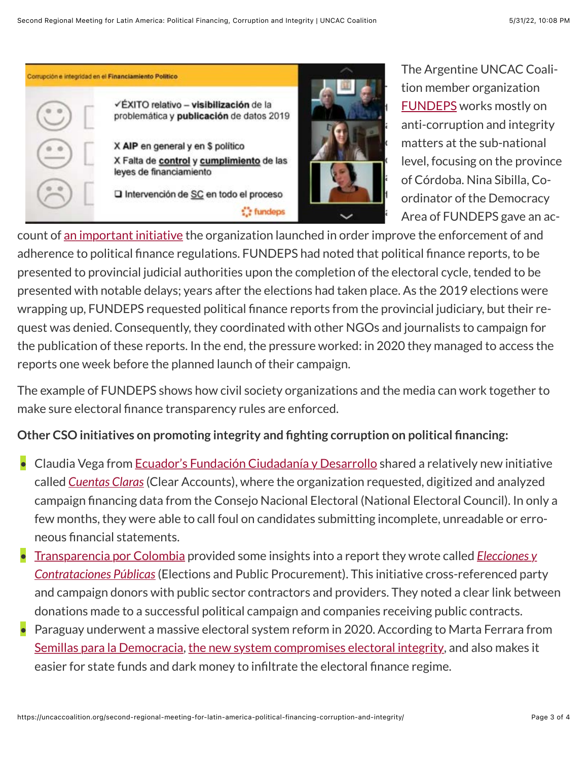Corrupción e integridad en el Financiamiento Político ÃXITO relativo - visibilización de la problemática y publicación de datos 2019

> X AIP en general y en \$ politico X Falta de control y cumplimiento de las leyes de financiamiento

□ Intervención de SC en todo el proceso

: fundeps



The Argentine UNCAC Coalition member organization [FUNDEPS](https://www.fundeps.org/) works mostly on anti-corruption and integrity matters at the sub-national level, focusing on the province of Córdoba. Nina Sibilla, Coordinator of the Democracy Area of FUNDEPS gave an ac-

count of [an important initiative](https://www.fundeps.org/financiamiento-politico-cordoba/) the organization launched in order improve the enforcement of and adherence to political finance regulations. FUNDEPS had noted that political finance reports, to be presented to provincial judicial authorities upon the completion of the electoral cycle, tended to be presented with notable delays; years after the elections had taken place. As the 2019 elections were wrapping up, FUNDEPS requested political finance reports from the provincial judiciary, but their request was denied. Consequently, they coordinated with other NGOs and journalists to campaign for the publication of these reports. In the end, the pressure worked: in 2020 they managed to access the reports one week before the planned launch of their campaign.

The example of FUNDEPS shows how civil society organizations and the media can work together to make sure electoral finance transparency rules are enforced.

### **Other CSO initiatives on promoting integrity and fighting corruption on political financing:**

- Claudia Vega from [Ecuador's Fundación Ciudadanía y Desarrollo](mailto:https://uncaccoalition.org/anti-corruption-platforms/latin-america/ecuador/fundacion-ciudadania-y-desarrollo-fcd/) shared a relatively new initiative called *[Cuentas Claras](http://www.cuentasclaras.org/)* (Clear Accounts), where the organization requested, digitized and analyzed campaign financing data from the Consejo Nacional Electoral (National Electoral Council). In only a few months, they were able to call foul on candidates submitting incomplete, unreadable or erroneous financial statements.
- [Transparencia por Colombia provided some insights into a report they wrote called](https://www.monitorciudadano.co/elecciones-contratos) *Elecciones y Contrataciones Públicas* (Elections and Public Procurement). This initiative cross-referenced party and campaign donors with public sector contractors and providers. They noted a clear link between donations made to a successful political campaign and companies receiving public contracts.
- Paraguay underwent a massive electoral system reform in 2020. According to Marta Ferrara from [Semillas para la Democracia](mailto:https://uncaccoalition.org/anti-corruption-platforms/latin-america/paraguay/semillas-para-la-democracia/), [the new system compromises electoral integrity](https://www.semillas.org.py/proyectos/fortalecimiento-de-capacidades-para-hacer-frente-a-la-reforma-electoral/), and also makes it easier for state funds and dark money to infiltrate the electoral finance regime.